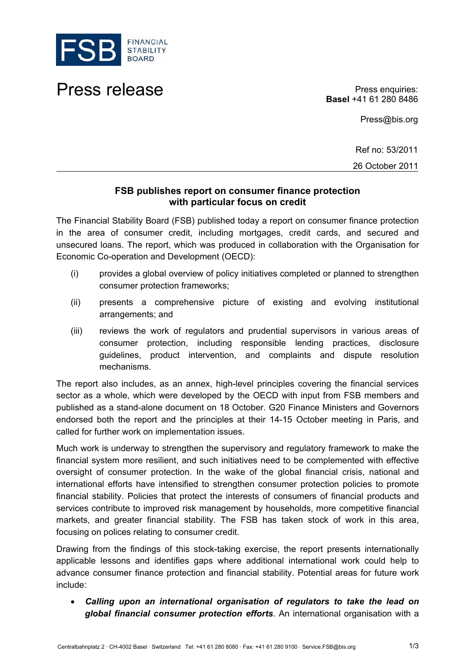

## Press release **Press enquiries:**

**Basel** +41 61 280 8486

Press@bis.org

Ref no: 53/2011 26 October 2011

## **FSB publishes report on consumer finance protection with particular focus on credit**

The Financial Stability Board (FSB) published today a report on consumer finance protection in the area of consumer credit, including mortgages, credit cards, and secured and unsecured loans. The report, which was produced in collaboration with the Organisation for Economic Co-operation and Development (OECD):

- (i) provides a global overview of policy initiatives completed or planned to strengthen consumer protection frameworks;
- (ii) presents a comprehensive picture of existing and evolving institutional arrangements; and
- (iii) reviews the work of regulators and prudential supervisors in various areas of consumer protection, including responsible lending practices, disclosure guidelines, product intervention, and complaints and dispute resolution mechanisms.

The report also includes, as an annex, high-level principles covering the financial services sector as a whole, which were developed by the OECD with input from FSB members and published as a stand-alone document on 18 October. G20 Finance Ministers and Governors endorsed both the report and the principles at their 14-15 October meeting in Paris, and called for further work on implementation issues.

Much work is underway to strengthen the supervisory and regulatory framework to make the financial system more resilient, and such initiatives need to be complemented with effective oversight of consumer protection. In the wake of the global financial crisis, national and international efforts have intensified to strengthen consumer protection policies to promote financial stability. Policies that protect the interests of consumers of financial products and services contribute to improved risk management by households, more competitive financial markets, and greater financial stability. The FSB has taken stock of work in this area, focusing on polices relating to consumer credit.

Drawing from the findings of this stock-taking exercise, the report presents internationally applicable lessons and identifies gaps where additional international work could help to advance consumer finance protection and financial stability. Potential areas for future work include:

 *Calling upon an international organisation of regulators to take the lead on global financial consumer protection efforts*. An international organisation with a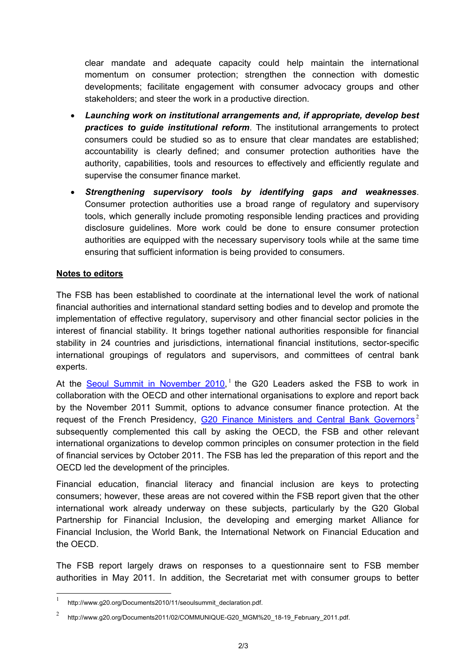clear mandate and adequate capacity could help maintain the international momentum on consumer protection; strengthen the connection with domestic developments; facilitate engagement with consumer advocacy groups and other stakeholders; and steer the work in a productive direction.

- *Launching work on institutional arrangements and, if appropriate, develop best practices to guide institutional reform*. The institutional arrangements to protect consumers could be studied so as to ensure that clear mandates are established; accountability is clearly defined; and consumer protection authorities have the authority, capabilities, tools and resources to effectively and efficiently regulate and supervise the consumer finance market.
- *Strengthening supervisory tools by identifying gaps and weaknesses*. Consumer protection authorities use a broad range of regulatory and supervisory tools, which generally include promoting responsible lending practices and providing disclosure guidelines. More work could be done to ensure consumer protection authorities are equipped with the necessary supervisory tools while at the same time ensuring that sufficient information is being provided to consumers.

## **Notes to editors**

l

The FSB has been established to coordinate at the international level the work of national financial authorities and international standard setting bodies and to develop and promote the implementation of effective regulatory, supervisory and other financial sector policies in the interest of financial stability. It brings together national authorities responsible for financial stability in 24 countries and jurisdictions, international financial institutions, sector-specific international groupings of regulators and supervisors, and committees of central bank experts.

At the **[Seoul Summit in November 2010](http://www.g20.org/Documents2010/11/seoulsummit_declaration.pdf)**, <sup>[1](#page-1-0)</sup> the G20 Leaders asked the FSB to work in collaboration with the OECD and other international organisations to explore and report back by the November 2011 Summit, options to advance consumer finance protection. At the request of the French Presidency, [G20 Finance Ministers and Central Bank Governors](http://www.g20.org/Documents2011/02/COMMUNIQUE-G20_MGM _18-19_February_2011.pdf)<sup>[2](#page-1-1)</sup> subsequently complemented this call by asking the OECD, the FSB and other relevant international organizations to develop common principles on consumer protection in the field of financial services by October 2011. The FSB has led the preparation of this report and the OECD led the development of the principles.

Financial education, financial literacy and financial inclusion are keys to protecting consumers; however, these areas are not covered within the FSB report given that the other international work already underway on these subjects, particularly by the G20 Global Partnership for Financial Inclusion, the developing and emerging market Alliance for Financial Inclusion, the World Bank, the International Network on Financial Education and the OECD.

The FSB report largely draws on responses to a questionnaire sent to FSB member authorities in May 2011. In addition, the Secretariat met with consumer groups to better

<span id="page-1-0"></span><sup>1</sup> http://www.q20.org/Documents2010/11/seoulsummit\_declaration.pdf.

<span id="page-1-1"></span><sup>2</sup> http://www.g20.org/Documents2011/02/COMMUNIQUE-G20\_MGM%20\_18-19\_February\_2011.pdf.